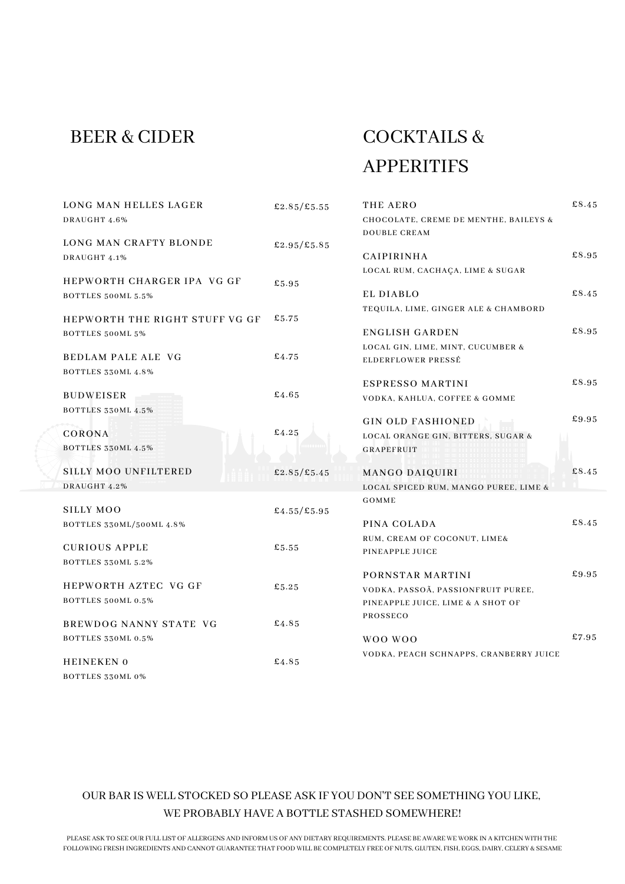# BEER & CIDER

# COCKTAILS & APPERITIFS

| £2.85/£5.55 | THE AERO                                           | £8.45                                                                                                                                                                                                                                                                                                 |
|-------------|----------------------------------------------------|-------------------------------------------------------------------------------------------------------------------------------------------------------------------------------------------------------------------------------------------------------------------------------------------------------|
|             | CHOCOLATE, CREME DE MENTHE, BAILEYS &              |                                                                                                                                                                                                                                                                                                       |
|             | <b>DOUBLE CREAM</b>                                |                                                                                                                                                                                                                                                                                                       |
| £2.95/£5.85 |                                                    |                                                                                                                                                                                                                                                                                                       |
|             | CAIPIRINHA                                         | £8.95                                                                                                                                                                                                                                                                                                 |
|             | LOCAL RUM, CACHAÇA, LIME & SUGAR                   |                                                                                                                                                                                                                                                                                                       |
| £5.95       |                                                    |                                                                                                                                                                                                                                                                                                       |
|             |                                                    | £8.45                                                                                                                                                                                                                                                                                                 |
|             | TEQUILA, LIME, GINGER ALE & CHAMBORD               |                                                                                                                                                                                                                                                                                                       |
|             |                                                    |                                                                                                                                                                                                                                                                                                       |
|             |                                                    | £8.95                                                                                                                                                                                                                                                                                                 |
|             |                                                    |                                                                                                                                                                                                                                                                                                       |
|             |                                                    |                                                                                                                                                                                                                                                                                                       |
|             |                                                    | £8.95                                                                                                                                                                                                                                                                                                 |
|             |                                                    |                                                                                                                                                                                                                                                                                                       |
|             |                                                    |                                                                                                                                                                                                                                                                                                       |
|             |                                                    | £9.95                                                                                                                                                                                                                                                                                                 |
| £4.25       |                                                    |                                                                                                                                                                                                                                                                                                       |
|             |                                                    |                                                                                                                                                                                                                                                                                                       |
|             |                                                    |                                                                                                                                                                                                                                                                                                       |
| £2.85/£5.45 | MANGO DAIQUIRI                                     | £8.45                                                                                                                                                                                                                                                                                                 |
|             | LOCAL SPICED RUM, MANGO PUREE, LIME &              |                                                                                                                                                                                                                                                                                                       |
|             | GOMME                                              |                                                                                                                                                                                                                                                                                                       |
| £4.55/£5.95 |                                                    |                                                                                                                                                                                                                                                                                                       |
|             | PINA COLADA                                        | £8.45                                                                                                                                                                                                                                                                                                 |
|             | RUM, CREAM OF COCONUT, LIME&                       |                                                                                                                                                                                                                                                                                                       |
|             | PINEAPPLE JUICE                                    |                                                                                                                                                                                                                                                                                                       |
|             |                                                    |                                                                                                                                                                                                                                                                                                       |
|             | PORNSTAR MARTINI                                   | £9.95                                                                                                                                                                                                                                                                                                 |
|             | VODKA, PASSOÃ, PASSIONFRUIT PUREE,                 |                                                                                                                                                                                                                                                                                                       |
|             | PINEAPPLE JUICE, LIME & A SHOT OF                  |                                                                                                                                                                                                                                                                                                       |
|             | PROSSECO                                           |                                                                                                                                                                                                                                                                                                       |
|             |                                                    | £7.95                                                                                                                                                                                                                                                                                                 |
|             |                                                    |                                                                                                                                                                                                                                                                                                       |
| £4.85       |                                                    |                                                                                                                                                                                                                                                                                                       |
|             |                                                    |                                                                                                                                                                                                                                                                                                       |
|             | £5.75<br>£4.75<br>£4.65<br>£5.55<br>£5.25<br>£4.85 | EL DIABLO<br><b>ENGLISH GARDEN</b><br>LOCAL GIN, LIME, MINT, CUCUMBER &<br>ELDERFLOWER PRESSÉ<br><b>ESPRESSO MARTINI</b><br>VODKA, KAHLUA, COFFEE & GOMME<br><b>GIN OLD FASHIONED</b><br>LOCAL ORANGE GIN, BITTERS, SUGAR &<br><b>GRAPEFRUIT</b><br>WOO WOO<br>VODKA, PEACH SCHNAPPS, CRANBERRY JUICE |

### OUR BAR IS WELL STOCKED SO PLEASE ASK IF YOU DON'T SEE SOMETHING YOU LIKE, WE PROBABLY HAVE A BOTTLE STASHED SOMEWHERE!

PLEASE ASK TO SEE OUR FULL LIST OF ALLERGENS AND INFORM US OF ANY DIETARY REQUIREMENTS. PLEASE BE AWARE WE WORK IN A KITCHEN WITH THE FOLLOWING FRESH INGREDIENTS AND CANNOT GUARANTEE THAT FOOD WILL BE COMPLETELY FREE OF NUTS, GLUTEN, FISH, EGGS, DAIRY, CELERY & SESAME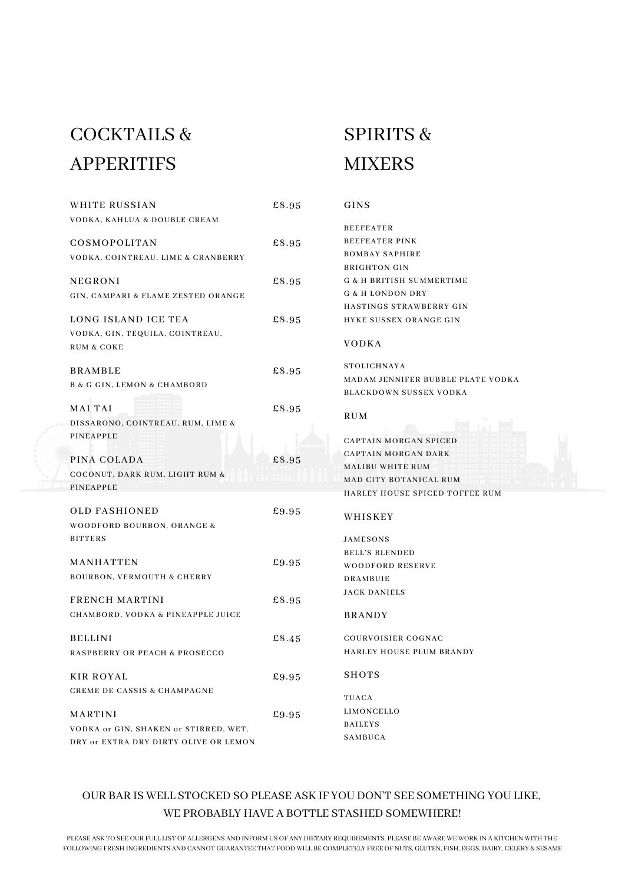# COCKTAILS & APPERITIFS

| WHITE RUSSIAN                              | £8.95 | GINS                                |
|--------------------------------------------|-------|-------------------------------------|
| VODKA, KAHLUA & DOUBLE CREAM               |       |                                     |
|                                            |       | <b>BEEFEATER</b>                    |
| COSMOPOLITAN                               | £8.95 | <b>BEEFEATER PINK</b>               |
| VODKA, COINTREAU, LIME & CRANBERRY         |       | <b>BOMBAY SAPHIRE</b>               |
|                                            |       | <b>BRIGHTON GIN</b>                 |
| <b>NEGRONI</b>                             | £8.95 | <b>G &amp; H BRITISH SUMMERTIME</b> |
| GIN, CAMPARI & FLAME ZESTED ORANGE         |       | <b>G &amp; H LONDON DRY</b>         |
|                                            |       | HASTINGS STRAWBERRY GIN             |
| LONG ISLAND ICE TEA                        | £8.95 | HYKE SUSSEX ORANGE GIN              |
| VODKA, GIN, TEQUILA, COINTREAU,            |       |                                     |
| <b>RUM &amp; COKE</b>                      |       | <b>VODKA</b>                        |
| <b>BRAMBLE</b>                             | £8.95 | STOLICHNAYA                         |
|                                            |       | MADAM JENNIFER BUBBLE PLATE VODKA   |
| <b>B &amp; G GIN, LEMON &amp; CHAMBORD</b> |       | <b>BLACKDOWN SUSSEX VODKA</b>       |
| <b>MAI TAI</b>                             | £8.95 |                                     |
| DISSARONO, COINTREAU, RUM, LIME &          |       | RUM                                 |
| PINEAPPLE                                  |       |                                     |
|                                            |       | <b>CAPTAIN MORGAN SPICED</b>        |
| PINA COLADA                                | £8.95 | <b>CAPTAIN MORGAN DARK</b>          |
| COCONUT, DARK RUM, LIGHT RUM &             |       | <b>MALIBU WHITE RUM</b>             |
| PINEAPPLE                                  |       | MAD CITY BOTANICAL RUM              |
|                                            |       | HARLEY HOUSE SPICED TOFFEE RUM      |
| <b>OLD FASHIONED</b>                       | £9.95 | WHISKEY                             |
| WOODFORD BOURBON, ORANGE &                 |       |                                     |
| <b>BITTERS</b>                             |       | <b>JAMESONS</b>                     |
|                                            |       | <b>BELL'S BLENDED</b>               |
| MANHATTEN                                  | £9.95 | <b>WOODFORD RESERVE</b>             |
| <b>BOURBON, VERMOUTH &amp; CHERRY</b>      |       | <b>DRAMBUIE</b>                     |
|                                            |       | <b>JACK DANIELS</b>                 |
| <b>FRENCH MARTINI</b>                      | £8.95 |                                     |
| CHAMBORD, VODKA & PINEAPPLE JUICE          |       | <b>BRANDY</b>                       |
| <b>BELLINI</b>                             | £8.45 | <b>COURVOISIER COGNAC</b>           |
| <b>RASPBERRY OR PEACH &amp; PROSECCO</b>   |       | HARLEY HOUSE PLUM BRANDY            |
|                                            |       |                                     |
| <b>KIR ROYAL</b>                           | £9.95 | <b>SHOTS</b>                        |
| <b>CREME DE CASSIS &amp; CHAMPAGNE</b>     |       |                                     |
|                                            |       | TUACA                               |
| <b>MARTINI</b>                             | £9.95 | LIMONCELLO                          |
| VODKA or GIN, SHAKEN or STIRRED, WET,      |       | <b>BAILEYS</b>                      |
| DRY or EXTRA DRY DIRTY OLIVE OR LEMON      |       | SAMBUCA                             |

### OUR BAR IS WELL STOCKED SO PLEASE ASK IF YOU DON'T SEE SOMETHING YOU LIKE, WE PROBABLY HAVE A BOTTLE STASHED SOMEWHERE!

# SPIRITS & MIXERS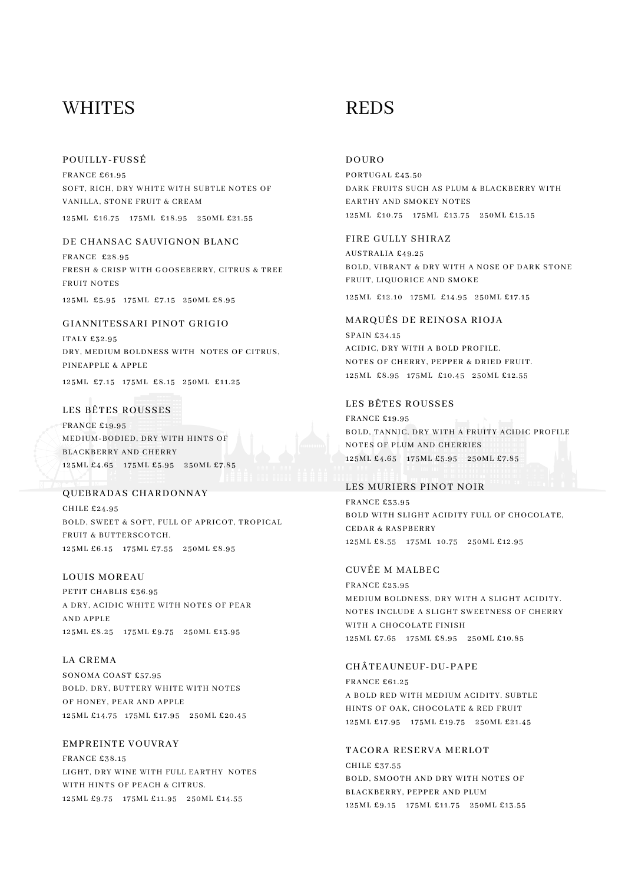### WHITES REDS

#### POUILLY-FUSSÉ

FRANCE £61.95 SOFT, RICH, DRY WHITE WITH SUBTLE NOTES OF VANILLA, STONE FRUIT & CREAM

125ML £16.75 175ML £18.95 250ML £21.55

#### DE CHANSAC SAUVIGNON BLANC

FRANCE £28.95 FRESH & CRISP WITH GOOSEBERRY, CITRUS & TREE FRUIT NOTES

125ML £5.95 175ML £7.15 250ML £8.95

#### GIANNITESSARI PINOT GRIGIO

ITALY £32.95 DRY, MEDIUM BOLDNESS WITH NOTES OF CITRUS, PINEAPPLE & APPLE

125ML £7.15 175ML £8.15 250ML £11.25

#### LES BÊTES ROUSSES

FRANCE £19.95 MEDIUM-BODIED, DRY WITH HINTS OF BLACKBERRY AND CHERRY 125ML £4.65 175ML £5.95 250ML £7.85

#### QUEBRADAS CHARDONNAY

CHILE £24.95 BOLD, SWEET & SOFT, FULL OF APRICOT, TROPICAL FRUIT & BUTTERSCOTCH. 125ML £6.15 175ML £7.55 250ML £8.95

#### LOUIS MOREAU

PETIT CHABLIS £36.95 A DRY, ACIDIC WHITE WITH NOTES OF PEAR AND APPLE 125ML £8.25 175ML £9.75 250ML £13.95

#### LA CREMA

SONOMA COAST £57.95 BOLD, DRY, BUTTERY WHITE WITH NOTES OF HONEY, PEAR AND APPLE 125ML £14.75 175ML £17.95 250ML £20.45

#### EMPREINTE VOUVRAY

FRANCE £38.15 LIGHT, DRY WINE WITH FULL EARTHY NOTES WITH HINTS OF PEACH & CITRUS. 125ML £9.75 175ML £11.95 250ML £14.55

#### DOURO

PORTUGAL £43.50 DARK FRUITS SUCH AS PLUM & BLACKBERRY WITH EARTHY AND SMOKEY NOTES 125ML £10.75 175ML £13.75 250ML £15.15

#### FIRE GULLY SHIRAZ

AUSTRALIA £49.25 BOLD, VIBRANT & DRY WITH A NOSE OF DARK STONE FRUIT, LIQUORICE AND SMOKE 125ML £12.10 175ML £14.95 250ML £17.15

#### MARQUÉS DE REINOSA RIOJA

SPAIN £34.15 ACIDIC, DRY WITH A BOLD PROFILE. NOTES OF CHERRY, PEPPER & DRIED FRUIT. 125ML £8.95 175ML £10.45 250ML £12.55

#### LES BÊTES ROUSSES

FRANCE £19.95 BOLD, TANNIC, DRY WITH A FRUITY ACIDIC PROFILE NOTES OF PLUM AND CHERRIES 125ML £4.65 175ML £5.95 250ML £7.85

#### LES MURIERS PINOT NOIR

FRANCE £33.95 BOLD WITH SLIGHT ACIDITY FULL OF CHOCOLATE, CEDAR & RASPBERRY 125ML £8.55 175ML 10.75 250ML £12.95

### CUVÉE M MALBEC

FRANCE £23.95 MEDIUM BOLDNESS, DRY WITH A SLIGHT ACIDITY. NOTES INCLUDE A SLIGHT SWEETNESS OF CHERRY WITH A CHOCOLATE FINISH 125ML £7.65 175ML £8.95 250ML £10.85

#### CHÂTEAUNEUF-DU-PAPE

FRANCE £61.25 A BOLD RED WITH MEDIUM ACIDITY. SUBTLE HINTS OF OAK, CHOCOLATE & RED FRUIT 125ML £17.95 175ML £19.75 250ML £21.45

#### TACORA RESERVA MERLOT

CHILE £37.55 BOLD, SMOOTH AND DRY WITH NOTES OF BLACKBERRY, PEPPER AND PLUM 125ML £9.15 175ML £11.75 250ML £13.55